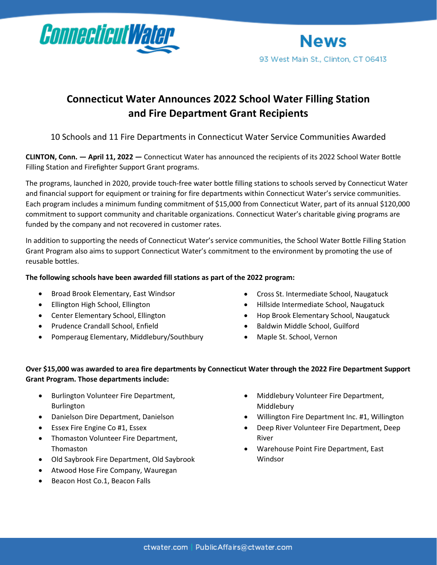

## **Connecticut Water Announces 2022 School Water Filling Station and Fire Department Grant Recipients**

10 Schools and 11 Fire Departments in Connecticut Water Service Communities Awarded

**CLINTON, Conn. — April 11, 2022 —** Connecticut Water has announced the recipients of its 2022 School Water Bottle Filling Station and Firefighter Support Grant programs.

The programs, launched in 2020, provide touch-free water bottle filling stations to schools served by Connecticut Water and financial support for equipment or training for fire departments within Connecticut Water's service communities. Each program includes a minimum funding commitment of \$15,000 from Connecticut Water, part of its annual \$120,000 commitment to support community and charitable organizations. Connecticut Water's charitable giving programs are funded by the company and not recovered in customer rates.

In addition to supporting the needs of Connecticut Water's service communities, the School Water Bottle Filling Station Grant Program also aims to support Connecticut Water's commitment to the environment by promoting the use of reusable bottles.

## **The following schools have been awarded fill stations as part of the 2022 program:**

- Broad Brook Elementary, East Windsor
- Ellington High School, Ellington
- Center Elementary School, Ellington
- Prudence Crandall School, Enfield
- Pomperaug Elementary, Middlebury/Southbury
- Cross St. Intermediate School, Naugatuck
- Hillside Intermediate School, Naugatuck
- Hop Brook Elementary School, Naugatuck
- Baldwin Middle School, Guilford
- Maple St. School, Vernon

## **Over \$15,000 was awarded to area fire departments by Connecticut Water through the 2022 Fire Department Support Grant Program. Those departments include:**

- Burlington Volunteer Fire Department, Burlington
- Danielson Dire Department, Danielson
- Essex Fire Engine Co #1, Essex
- Thomaston Volunteer Fire Department, Thomaston
- Old Saybrook Fire Department, Old Saybrook
- Atwood Hose Fire Company, Wauregan
- Beacon Host Co.1, Beacon Falls
- Middlebury Volunteer Fire Department, Middlebury
- Willington Fire Department Inc. #1, Willington
- Deep River Volunteer Fire Department, Deep River
- Warehouse Point Fire Department, East Windsor